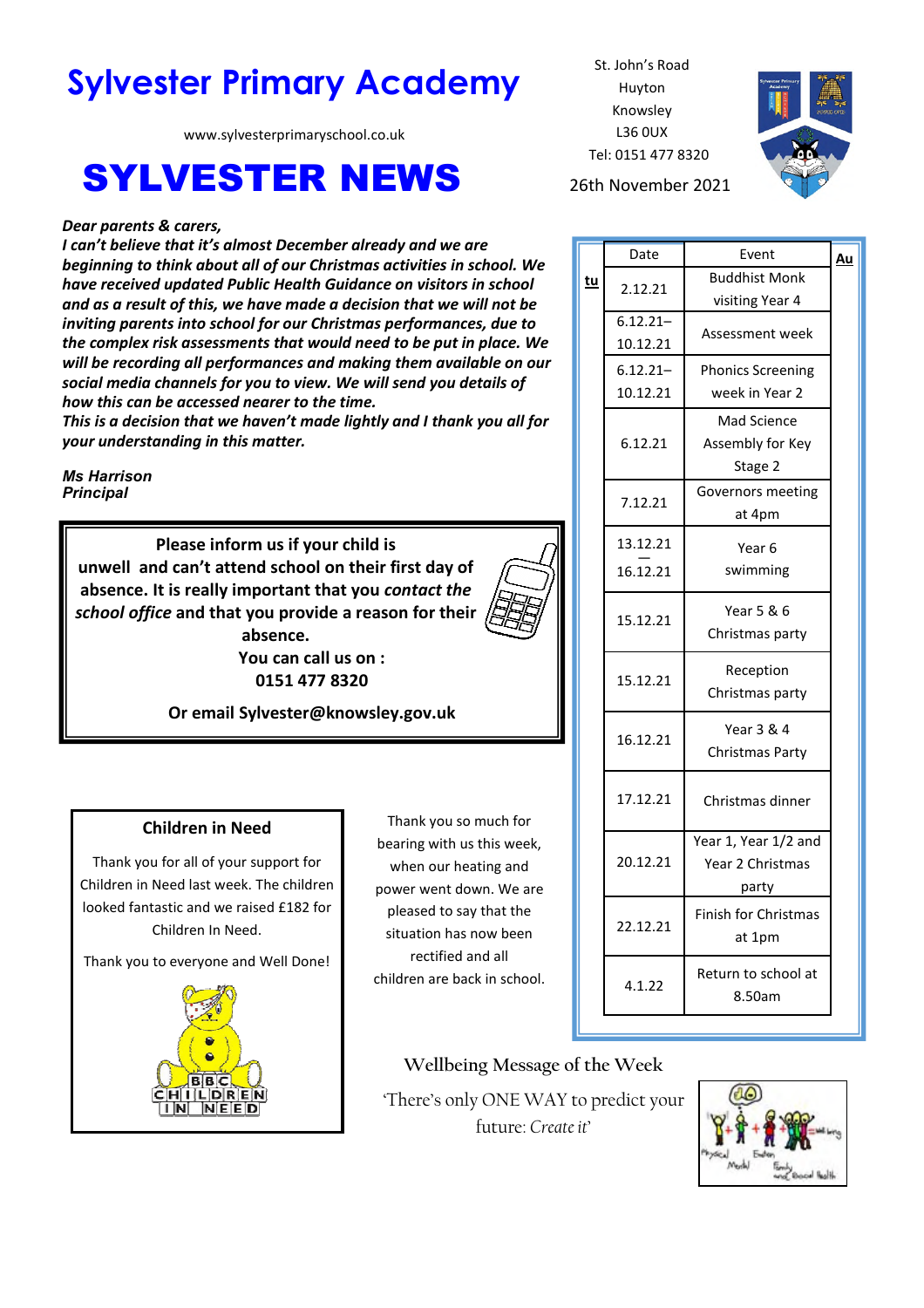# **Sylvester Primary Academy** St. John's Road

www.sylvesterprimaryschool.co.uk

## SYLVESTER NEWS 26th November 2021

#### *Dear parents & carers,*

*I can't believe that it's almost December already and we are beginning to think about all of our Christmas activities in school. We have received updated Public Health Guidance on visitors in school and as a result of this, we have made a decision that we will not be inviting parents into school for our Christmas performances, due to the complex risk assessments that would need to be put in place. We will be recording all performances and making them available on our social media channels for you to view. We will send you details of how this can be accessed nearer to the time.* 

*This is a decision that we haven't made lightly and I thank you all for your understanding in this matter.* 

*Ms Harrison Principal*

> **Please inform us if your child is unwell and can't attend school on their first day of absence. It is really important that you** *contact the school office* **and that you provide a reason for their absence.**

**You can call us on : 0151 477 8320** 



**Or email Sylvester@knowsley.gov.uk** 

#### **Children in Need**

Thank you for all of your support for Children in Need last week. The children looked fantastic and we raised £182 for Children In Need.

Thank you to everyone and Well Done!



Thank you so much for bearing with us this week, when our heating and power went down. We are pleased to say that the situation has now been rectified and all children are back in school.

Huyton Knowsley L36 0UX Tel: 0151 477 8320



|    | Date        | Event                    | Au |
|----|-------------|--------------------------|----|
| tu | 2.12.21     | <b>Buddhist Monk</b>     |    |
|    |             | visiting Year 4          |    |
|    | $6.12.21 -$ | Assessment week          |    |
|    | 10.12.21    |                          |    |
|    | $6.12.21 -$ | <b>Phonics Screening</b> |    |
|    | 10.12.21    | week in Year 2           |    |
|    | 6.12.21     | Mad Science              |    |
|    |             | Assembly for Key         |    |
|    |             | Stage 2                  |    |
|    |             | Governors meeting        |    |
|    | 7.12.21     | at 4pm                   |    |
|    | 13.12.21    | Year 6                   |    |
|    | 16.12.21    | swimming                 |    |
|    |             |                          |    |
|    | 15.12.21    | Year 5 & 6               |    |
|    |             | Christmas party          |    |
|    | 15.12.21    | Reception                |    |
|    |             | Christmas party          |    |
|    |             |                          |    |
|    | 16.12.21    | Year 3 & 4               |    |
|    |             | Christmas Party          |    |
|    | 17.12.21    | Christmas dinner         |    |
|    |             |                          |    |
|    | 20.12.21    | Year 1, Year 1/2 and     |    |
|    |             | Year 2 Christmas         |    |
|    |             | party                    |    |
|    | 22.12.21    | Finish for Christmas     |    |
|    |             | at 1pm                   |    |
|    | 4.1.22      | Return to school at      |    |
|    |             | 8.50am                   |    |
|    |             |                          |    |

**Wellbeing Message of the Week** 

'There's only ONE WAY to predict your future: *Create it*'